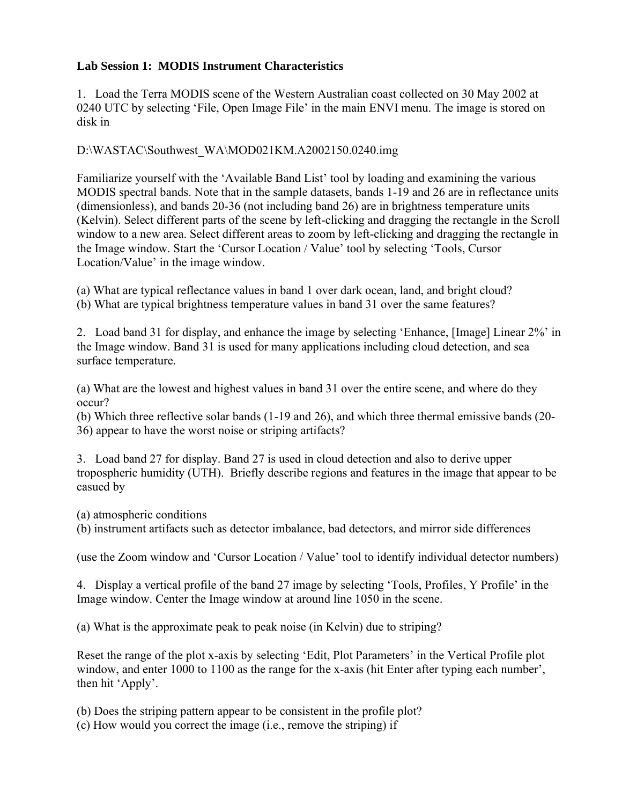## **Lab Session 1: MODIS Instrument Characteristics**

1. Load the Terra MODIS scene of the Western Australian coast collected on 30 May 2002 at 0240 UTC by selecting 'File, Open Image File' in the main ENVI menu. The image is stored on disk in

D:\WASTAC\Southwest\_WA\MOD021KM.A2002150.0240.img

Familiarize yourself with the 'Available Band List' tool by loading and examining the various MODIS spectral bands. Note that in the sample datasets, bands 1-19 and 26 are in reflectance units (dimensionless), and bands 20-36 (not including band 26) are in brightness temperature units (Kelvin). Select different parts of the scene by left-clicking and dragging the rectangle in the Scroll window to a new area. Select different areas to zoom by left-clicking and dragging the rectangle in the Image window. Start the 'Cursor Location / Value' tool by selecting 'Tools, Cursor Location/Value' in the image window.

(a) What are typical reflectance values in band 1 over dark ocean, land, and bright cloud? (b) What are typical brightness temperature values in band 31 over the same features?

2. Load band 31 for display, and enhance the image by selecting 'Enhance, [Image] Linear 2%' in the Image window. Band 31 is used for many applications including cloud detection, and sea surface temperature.

(a) What are the lowest and highest values in band 31 over the entire scene, and where do they occur?

(b) Which three reflective solar bands (1-19 and 26), and which three thermal emissive bands (20- 36) appear to have the worst noise or striping artifacts?

3. Load band 27 for display. Band 27 is used in cloud detection and also to derive upper tropospheric humidity (UTH). Briefly describe regions and features in the image that appear to be casued by

(a) atmospheric conditions

(b) instrument artifacts such as detector imbalance, bad detectors, and mirror side differences

(use the Zoom window and 'Cursor Location / Value' tool to identify individual detector numbers)

4. Display a vertical profile of the band 27 image by selecting 'Tools, Profiles, Y Profile' in the Image window. Center the Image window at around line 1050 in the scene.

(a) What is the approximate peak to peak noise (in Kelvin) due to striping?

Reset the range of the plot x-axis by selecting 'Edit, Plot Parameters' in the Vertical Profile plot window, and enter 1000 to 1100 as the range for the x-axis (hit Enter after typing each number', then hit 'Apply'.

(b) Does the striping pattern appear to be consistent in the profile plot?

(c) How would you correct the image (i.e., remove the striping) if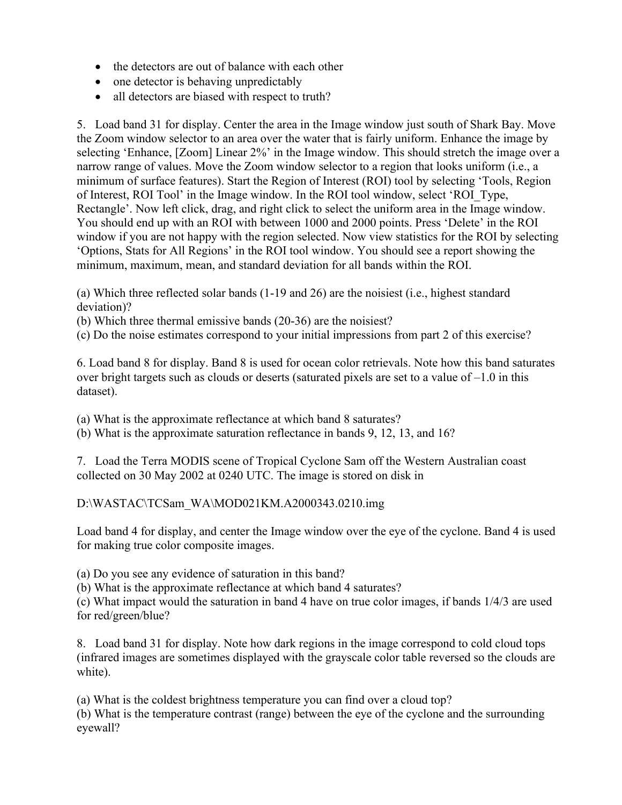- the detectors are out of balance with each other
- one detector is behaving unpredictably
- all detectors are biased with respect to truth?

5. Load band 31 for display. Center the area in the Image window just south of Shark Bay. Move the Zoom window selector to an area over the water that is fairly uniform. Enhance the image by selecting 'Enhance, [Zoom] Linear 2%' in the Image window. This should stretch the image over a narrow range of values. Move the Zoom window selector to a region that looks uniform (i.e., a minimum of surface features). Start the Region of Interest (ROI) tool by selecting 'Tools, Region of Interest, ROI Tool' in the Image window. In the ROI tool window, select 'ROI\_Type, Rectangle'. Now left click, drag, and right click to select the uniform area in the Image window. You should end up with an ROI with between 1000 and 2000 points. Press 'Delete' in the ROI window if you are not happy with the region selected. Now view statistics for the ROI by selecting 'Options, Stats for All Regions' in the ROI tool window. You should see a report showing the minimum, maximum, mean, and standard deviation for all bands within the ROI.

(a) Which three reflected solar bands (1-19 and 26) are the noisiest (i.e., highest standard deviation)?

(b) Which three thermal emissive bands (20-36) are the noisiest?

(c) Do the noise estimates correspond to your initial impressions from part 2 of this exercise?

6. Load band 8 for display. Band 8 is used for ocean color retrievals. Note how this band saturates over bright targets such as clouds or deserts (saturated pixels are set to a value of  $-1.0$  in this dataset).

(a) What is the approximate reflectance at which band 8 saturates?

(b) What is the approximate saturation reflectance in bands 9, 12, 13, and 16?

7. Load the Terra MODIS scene of Tropical Cyclone Sam off the Western Australian coast collected on 30 May 2002 at 0240 UTC. The image is stored on disk in

## D:\WASTAC\TCSam\_WA\MOD021KM.A2000343.0210.img

Load band 4 for display, and center the Image window over the eye of the cyclone. Band 4 is used for making true color composite images.

(a) Do you see any evidence of saturation in this band?

(b) What is the approximate reflectance at which band 4 saturates?

(c) What impact would the saturation in band 4 have on true color images, if bands 1/4/3 are used for red/green/blue?

8. Load band 31 for display. Note how dark regions in the image correspond to cold cloud tops (infrared images are sometimes displayed with the grayscale color table reversed so the clouds are white).

(a) What is the coldest brightness temperature you can find over a cloud top?

(b) What is the temperature contrast (range) between the eye of the cyclone and the surrounding eyewall?